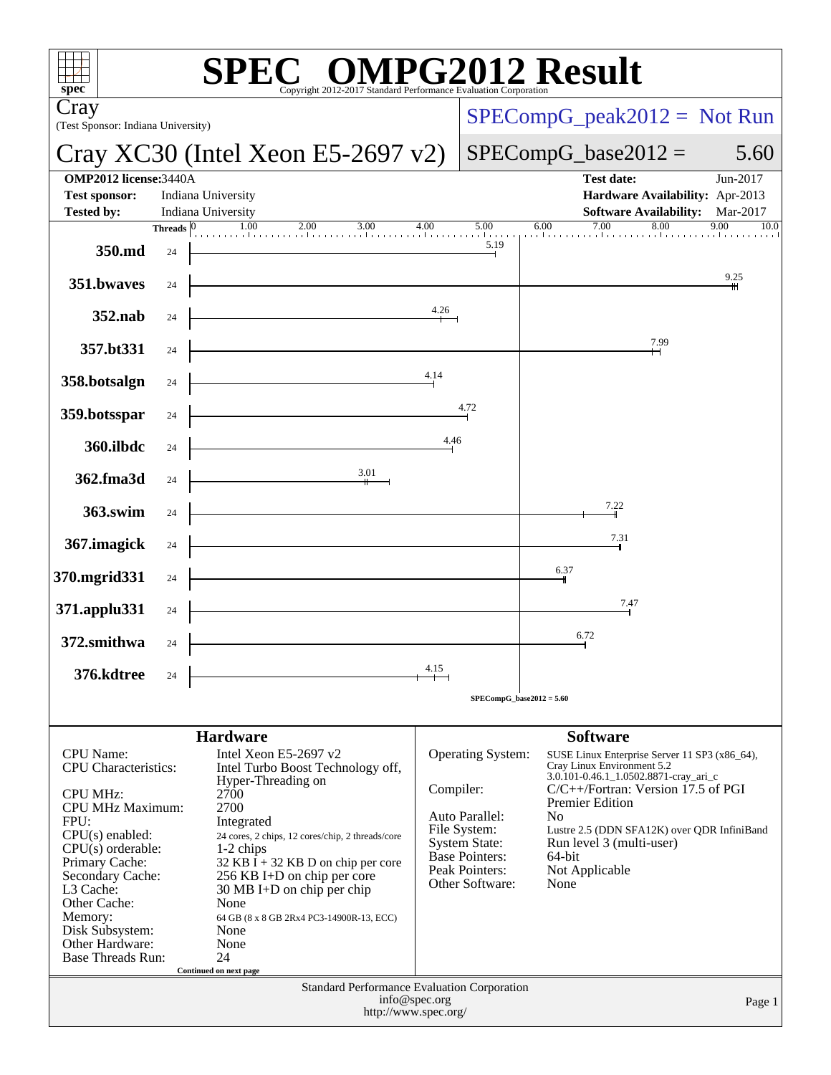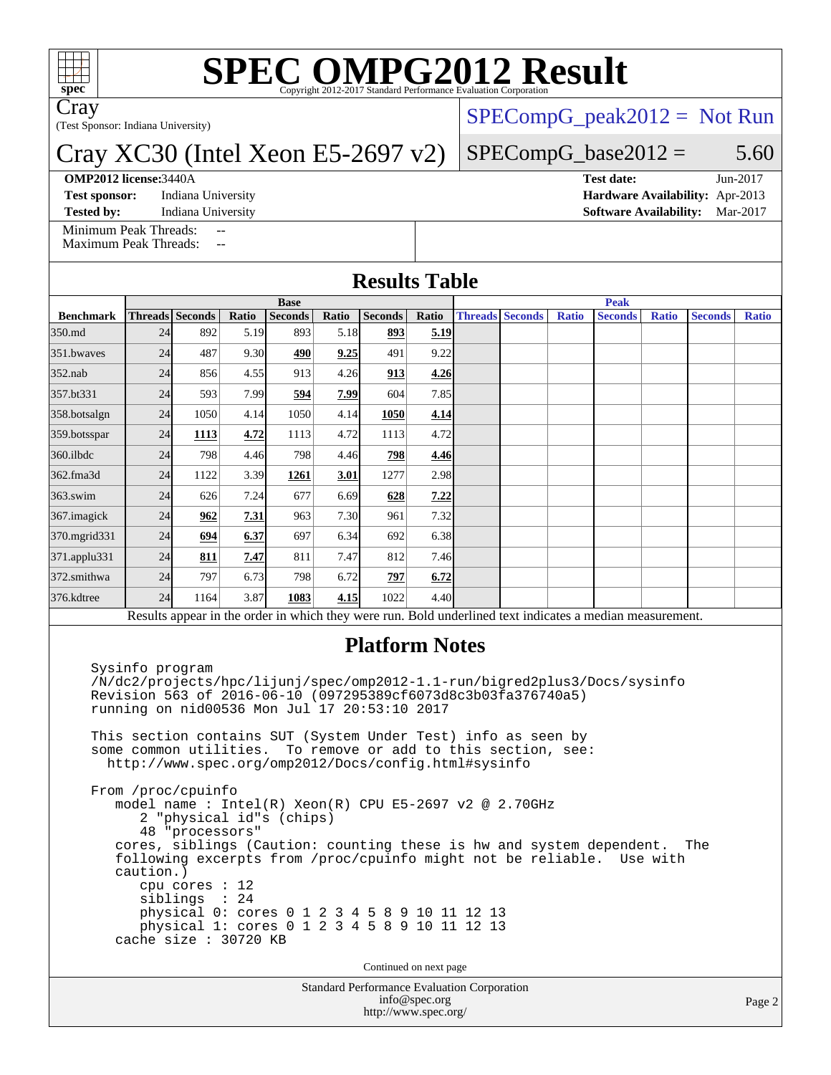

# **[SPEC OMPG2012 Result](http://www.spec.org/auto/omp2012/Docs/result-fields.html#SPECOMPG2012Result)**

Cray

(Test Sponsor: Indiana University)

### Cray XC30 (Intel Xeon E5-2697 v2)

#### **[OMP2012 license:](http://www.spec.org/auto/omp2012/Docs/result-fields.html#OMP2012license)**3440A **[Test date:](http://www.spec.org/auto/omp2012/Docs/result-fields.html#Testdate)** Jun-2017

**[Test sponsor:](http://www.spec.org/auto/omp2012/Docs/result-fields.html#Testsponsor)** Indiana University **[Hardware Availability:](http://www.spec.org/auto/omp2012/Docs/result-fields.html#HardwareAvailability)** Apr-2013

 $SPECompG_peak2012 = Not Run$  $SPECompG_peak2012 = Not Run$ 

### $SPECompG_base2012 = 5.60$  $SPECompG_base2012 = 5.60$

**[Tested by:](http://www.spec.org/auto/omp2012/Docs/result-fields.html#Testedby)** Indiana University **[Software Availability:](http://www.spec.org/auto/omp2012/Docs/result-fields.html#SoftwareAvailability)** Mar-2017

[Minimum Peak Threads:](http://www.spec.org/auto/omp2012/Docs/result-fields.html#MinimumPeakThreads) [Maximum Peak Threads:](http://www.spec.org/auto/omp2012/Docs/result-fields.html#MaximumPeakThreads)

| <b>Results Table</b> |  |
|----------------------|--|
|----------------------|--|

|                                                                                                          | <b>Base</b> |                        |       |                |       |                |               | <b>Peak</b> |                        |              |                |              |                |              |
|----------------------------------------------------------------------------------------------------------|-------------|------------------------|-------|----------------|-------|----------------|---------------|-------------|------------------------|--------------|----------------|--------------|----------------|--------------|
| <b>Benchmark</b>                                                                                         |             | <b>Threads Seconds</b> | Ratio | <b>Seconds</b> | Ratio | <b>Seconds</b> | Ratio         |             | <b>Threads Seconds</b> | <b>Ratio</b> | <b>Seconds</b> | <b>Ratio</b> | <b>Seconds</b> | <b>Ratio</b> |
| 350.md                                                                                                   | 24          | 892                    | 5.19  | 893            | 5.18  | 893            | 5.19          |             |                        |              |                |              |                |              |
| 351.bwayes                                                                                               | 24          | 487                    | 9.30  | 490            | 9.25  | 491            | 9.22          |             |                        |              |                |              |                |              |
| $352$ .nab                                                                                               | 24          | 856                    | 4.55  | 913            | 4.26  | 913            | 4.26          |             |                        |              |                |              |                |              |
| 357.bt331                                                                                                | 24          | 593                    | 7.99  | 594            | 7.99  | 604            | 7.85          |             |                        |              |                |              |                |              |
| 358.botsalgn                                                                                             | 24          | 1050                   | 4.14  | 1050           | 4.14  | 1050           | 4.14          |             |                        |              |                |              |                |              |
| 359.botsspar                                                                                             | 24          | 1113                   | 4.72  | 1113           | 4.72  | 1113           | 4.72          |             |                        |              |                |              |                |              |
| 360.ilbdc                                                                                                | 24          | 798                    | 4.46  | 798            | 4.46  | 798            | 4.46          |             |                        |              |                |              |                |              |
| 362.fma3d                                                                                                | 24          | 1122                   | 3.39  | 1261           | 3.01  | 1277           | 2.98          |             |                        |              |                |              |                |              |
| $363$ .swim                                                                                              | 24          | 626                    | 7.24  | 677            | 6.69  | 628            | <u>7.22  </u> |             |                        |              |                |              |                |              |
| 367. imagick                                                                                             | 24          | 962                    | 7.31  | 963            | 7.30  | 961            | 7.32          |             |                        |              |                |              |                |              |
| 370.mgrid331                                                                                             | 24          | 694                    | 6.37  | 697            | 6.34  | 692            | 6.38          |             |                        |              |                |              |                |              |
| 371.applu331                                                                                             | 24          | 811                    | 7.47  | 811            | 7.47  | 812            | 7.46          |             |                        |              |                |              |                |              |
| 372.smithwa                                                                                              | 24          | 797                    | 6.73  | 798            | 6.72  | 797            | 6.72          |             |                        |              |                |              |                |              |
| 376.kdtree                                                                                               | 24          | 1164                   | 3.87  | 1083           | 4.15  | 1022           | 4.40          |             |                        |              |                |              |                |              |
| Results appear in the order in which they were run. Bold underlined text indicates a median measurement. |             |                        |       |                |       |                |               |             |                        |              |                |              |                |              |

#### **[Platform Notes](http://www.spec.org/auto/omp2012/Docs/result-fields.html#PlatformNotes)**

 Sysinfo program /N/dc2/projects/hpc/lijunj/spec/omp2012-1.1-run/bigred2plus3/Docs/sysinfo Revision 563 of 2016-06-10 (097295389cf6073d8c3b03fa376740a5) running on nid00536 Mon Jul 17 20:53:10 2017

 This section contains SUT (System Under Test) info as seen by some common utilities. To remove or add to this section, see: <http://www.spec.org/omp2012/Docs/config.html#sysinfo>

 From /proc/cpuinfo model name : Intel(R) Xeon(R) CPU E5-2697 v2 @ 2.70GHz 2 "physical id"s (chips) 48 "processors" cores, siblings (Caution: counting these is hw and system dependent. The following excerpts from /proc/cpuinfo might not be reliable. Use with caution.) cpu cores : 12 siblings : 24 physical 0: cores 0 1 2 3 4 5 8 9 10 11 12 13 physical 1: cores 0 1 2 3 4 5 8 9 10 11 12 13 cache size : 30720 KB

Continued on next page

Standard Performance Evaluation Corporation [info@spec.org](mailto:info@spec.org) <http://www.spec.org/>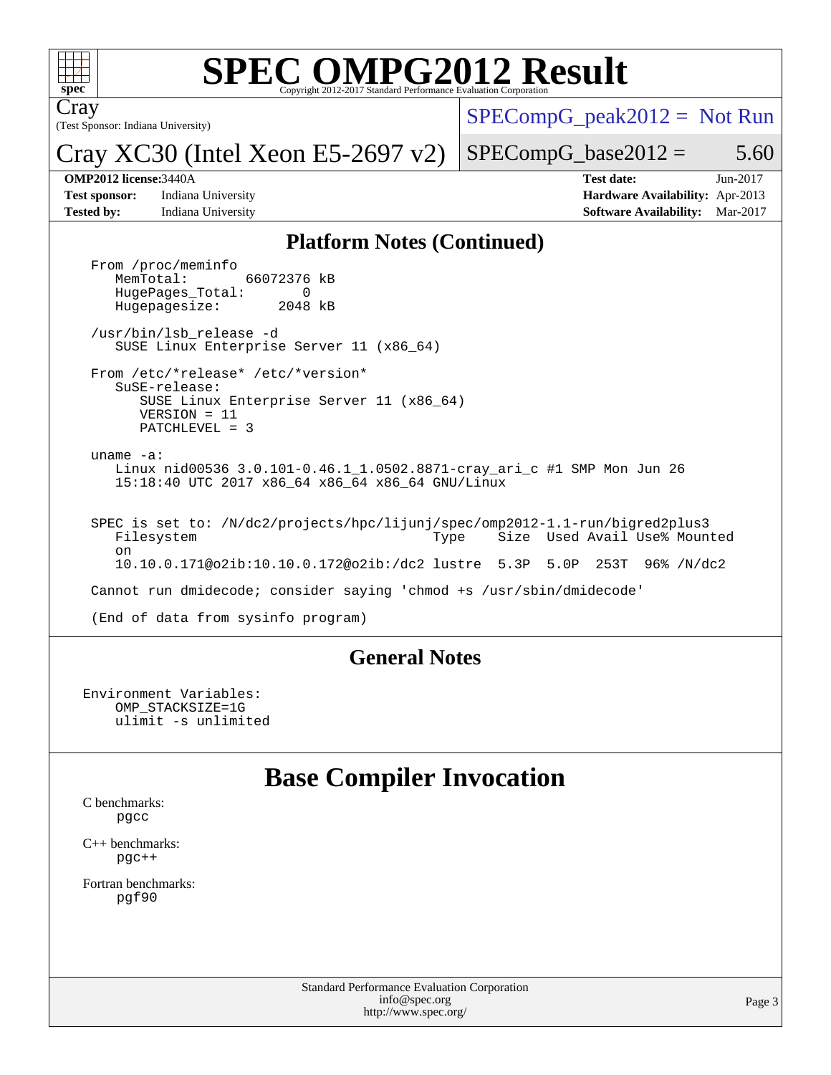

## **[SPEC OMPG2012 Result](http://www.spec.org/auto/omp2012/Docs/result-fields.html#SPECOMPG2012Result)**

(Test Sponsor: Indiana University) Cray

 $SPECompG_peak2012 = Not Run$  $SPECompG_peak2012 = Not Run$ 

Cray XC30 (Intel Xeon E5-2697 v2)

 $SPECompG_base2012 = 5.60$  $SPECompG_base2012 = 5.60$ 

**[Tested by:](http://www.spec.org/auto/omp2012/Docs/result-fields.html#Testedby)** Indiana University **[Software Availability:](http://www.spec.org/auto/omp2012/Docs/result-fields.html#SoftwareAvailability)** Mar-2017

**[OMP2012 license:](http://www.spec.org/auto/omp2012/Docs/result-fields.html#OMP2012license)**3440A **[Test date:](http://www.spec.org/auto/omp2012/Docs/result-fields.html#Testdate)** Jun-2017 **[Test sponsor:](http://www.spec.org/auto/omp2012/Docs/result-fields.html#Testsponsor)** Indiana University **[Hardware Availability:](http://www.spec.org/auto/omp2012/Docs/result-fields.html#HardwareAvailability)** Apr-2013

#### **[Platform Notes \(Continued\)](http://www.spec.org/auto/omp2012/Docs/result-fields.html#PlatformNotes)**

From /proc/meminfo<br>MemTotal: 66072376 kB HugePages\_Total: 0<br>Hugepagesize: 2048 kB Hugepagesize: /usr/bin/lsb\_release -d SUSE Linux Enterprise Server 11 (x86\_64) From /etc/\*release\* /etc/\*version\* SuSE-release: SUSE Linux Enterprise Server 11 (x86\_64) VERSION = 11 PATCHLEVEL = 3 uname -a: Linux nid00536 3.0.101-0.46.1\_1.0502.8871-cray\_ari\_c #1 SMP Mon Jun 26 15:18:40 UTC 2017 x86\_64 x86\_64 x86\_64 GNU/Linux SPEC is set to: /N/dc2/projects/hpc/lijunj/spec/omp2012-1.1-run/bigred2plus3 Filesystem Type Size Used Avail Use% Mounted on 10.10.0.171@o2ib:10.10.0.172@o2ib:/dc2 lustre 5.3P 5.0P 253T 96% /N/dc2 Cannot run dmidecode; consider saying 'chmod +s /usr/sbin/dmidecode' (End of data from sysinfo program)

#### **[General Notes](http://www.spec.org/auto/omp2012/Docs/result-fields.html#GeneralNotes)**

Environment Variables: OMP\_STACKSIZE=1G ulimit -s unlimited

## **[Base Compiler Invocation](http://www.spec.org/auto/omp2012/Docs/result-fields.html#BaseCompilerInvocation)**

[C benchmarks](http://www.spec.org/auto/omp2012/Docs/result-fields.html#Cbenchmarks): [pgcc](http://www.spec.org/omp2012/results/res2017q3/omp2012-20170730-00115.flags.html#user_CCbase_pgcc_l)

[C++ benchmarks:](http://www.spec.org/auto/omp2012/Docs/result-fields.html#CXXbenchmarks) [pgc++](http://www.spec.org/omp2012/results/res2017q3/omp2012-20170730-00115.flags.html#user_CXXbase_pgcpp_l_e5fc4a0ead554906661557a60ef932e8)

[Fortran benchmarks](http://www.spec.org/auto/omp2012/Docs/result-fields.html#Fortranbenchmarks): [pgf90](http://www.spec.org/omp2012/results/res2017q3/omp2012-20170730-00115.flags.html#user_FCbase_pgf90_l)

> Standard Performance Evaluation Corporation [info@spec.org](mailto:info@spec.org) <http://www.spec.org/>